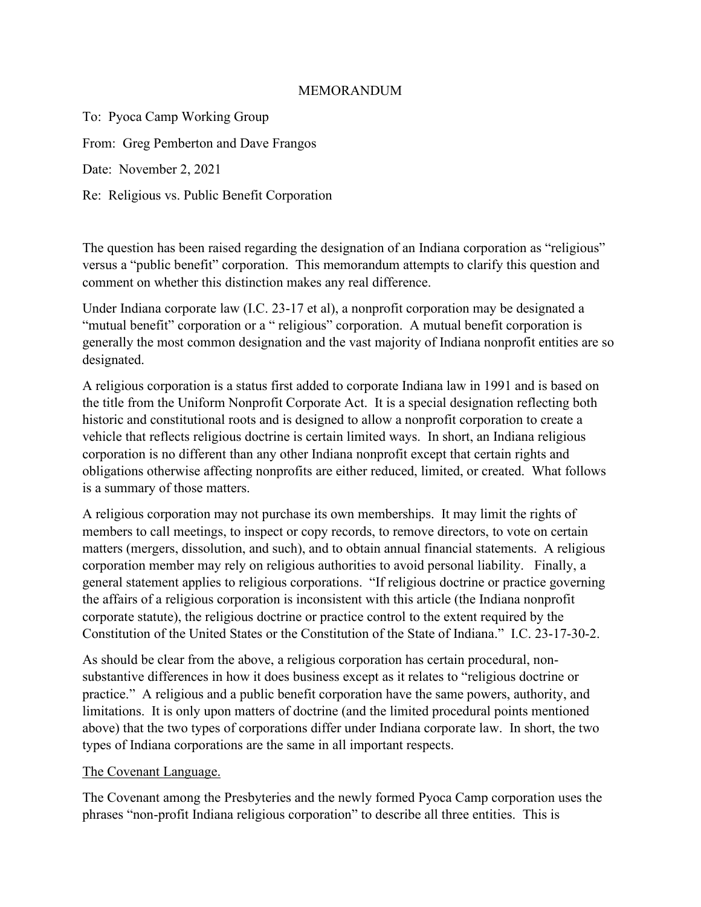## MEMORANDUM

To: Pyoca Camp Working Group From: Greg Pemberton and Dave Frangos Date: November 2, 2021 Re: Religious vs. Public Benefit Corporation

The question has been raised regarding the designation of an Indiana corporation as "religious" versus a "public benefit" corporation. This memorandum attempts to clarify this question and comment on whether this distinction makes any real difference.

Under Indiana corporate law (I.C. 23-17 et al), a nonprofit corporation may be designated a "mutual benefit" corporation or a " religious" corporation. A mutual benefit corporation is generally the most common designation and the vast majority of Indiana nonprofit entities are so designated.

A religious corporation is a status first added to corporate Indiana law in 1991 and is based on the title from the Uniform Nonprofit Corporate Act. It is a special designation reflecting both historic and constitutional roots and is designed to allow a nonprofit corporation to create a vehicle that reflects religious doctrine is certain limited ways. In short, an Indiana religious corporation is no different than any other Indiana nonprofit except that certain rights and obligations otherwise affecting nonprofits are either reduced, limited, or created. What follows is a summary of those matters.

A religious corporation may not purchase its own memberships. It may limit the rights of members to call meetings, to inspect or copy records, to remove directors, to vote on certain matters (mergers, dissolution, and such), and to obtain annual financial statements. A religious corporation member may rely on religious authorities to avoid personal liability. Finally, a general statement applies to religious corporations. "If religious doctrine or practice governing the affairs of a religious corporation is inconsistent with this article (the Indiana nonprofit corporate statute), the religious doctrine or practice control to the extent required by the Constitution of the United States or the Constitution of the State of Indiana." I.C. 23-17-30-2.

As should be clear from the above, a religious corporation has certain procedural, nonsubstantive differences in how it does business except as it relates to "religious doctrine or practice." A religious and a public benefit corporation have the same powers, authority, and limitations. It is only upon matters of doctrine (and the limited procedural points mentioned above) that the two types of corporations differ under Indiana corporate law. In short, the two types of Indiana corporations are the same in all important respects.

## The Covenant Language.

The Covenant among the Presbyteries and the newly formed Pyoca Camp corporation uses the phrases "non-profit Indiana religious corporation" to describe all three entities. This is